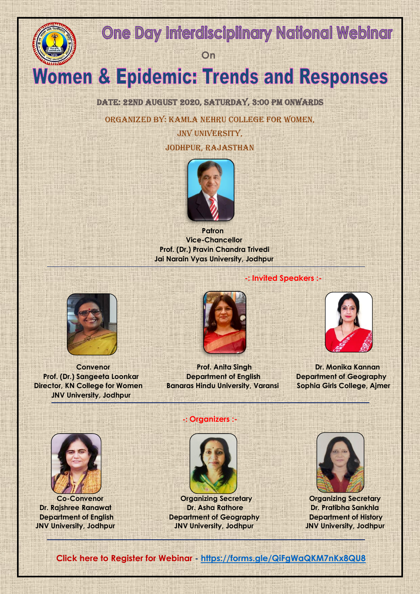# **One Day Interdisciplinary National Webinar**

*<u>Department</u>* 

# **Women & Epidemic: Trends and Responses**

DATE: 22ND AUGUST 2020, SATURDAY, 3:00 PM ONWARDS

Organized by: Kamla Nehru College for Women,

JNV UNIVERSITY, Jodhpur, Rajasthan



*Patron*  **Vice-Chancellor Prof. (Dr.) Pravin Chandra Trivedi Jai Narain Vyas University, Jodhpur** 



 **Director, KN College for Women Banaras Hindu University, Varansi Sophia Girls College, Ajmer JNV University, Jodhpur** 



 **Convenor Prof. Anita Singh Prof. Anita Singh Prof. Anita Singh Prof. Anita Singh Prof. Anita Brand Prof. (Dr.) Sangeeta Loonkar Department of English Department of Geography**

## **-: Invited Speakers :-**





#### **-: Organizers :-**



 **Co-Convenor Organizing Secretary Organizing Secretary Dr. Rajshree Ranawat Dr. Asha Rathore Dr. Pratibha Sankhla Department of English Department of Geography Department of History JNV University, Jodhpur JNV University, Jodhpur JNV University, Jodhpur**



 **Click here to Register for Webinar - <https://forms.gle/QiFgWaQKM7nKx8QU8>**